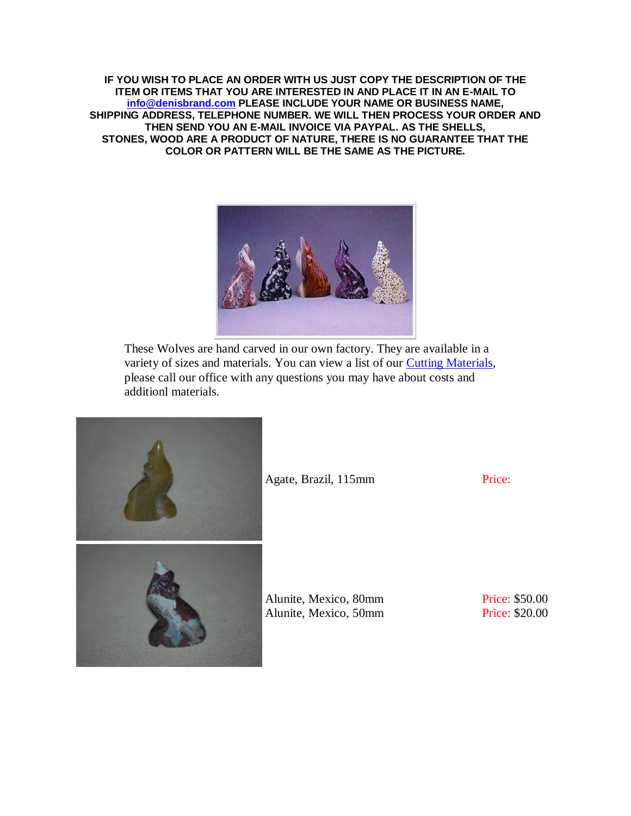**IF YOU WISH TO PLACE AN ORDER WITH US JUST COPY THE DESCRIPTION OF THE ITEM OR ITEMS THAT YOU ARE INTERESTED IN AND PLACE IT IN AN E-MAIL TO [info@denisbrand.com](mailto:info@denisbrand.com) PLEASE INCLUDE YOUR NAME OR BUSINESS NAME, SHIPPING ADDRESS, TELEPHONE NUMBER. WE WILL THEN PROCESS YOUR ORDER AND THEN SEND YOU AN E-MAIL INVOICE VIA PAYPAL. AS THE SHELLS, STONES, WOOD ARE A PRODUCT OF NATURE, THERE IS NO GUARANTEE THAT THE COLOR OR PATTERN WILL BE THE SAME AS THE PICTURE.**



These Wolves are hand carved in our own factory. They are available in a variety of sizes and materials. You can view a list of our [Cutting Materials,](http://denisbrand.com/mineral-list.html) please call our office with any questions you may have about costs and additionl materials.



Agate, Brazil, 115mm Price:

Alunite, Mexico, 80mm Alunite, Mexico, 50mm Price: \$50.00 Price: \$20.00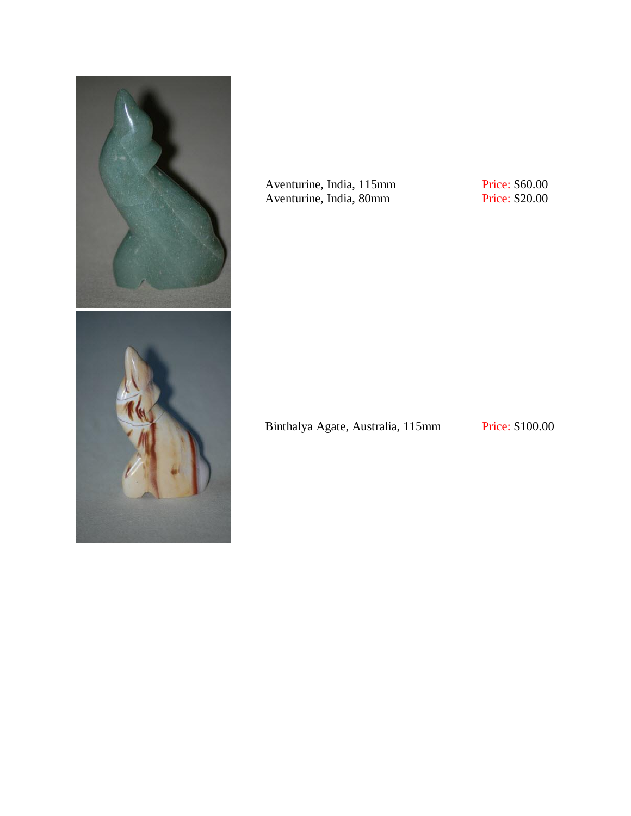

Aventurine, India, 115mm Aventurine, India, 80mm

Price: \$60.00 Price: \$20.00

Binthalya Agate, Australia, 115mm Price: \$100.00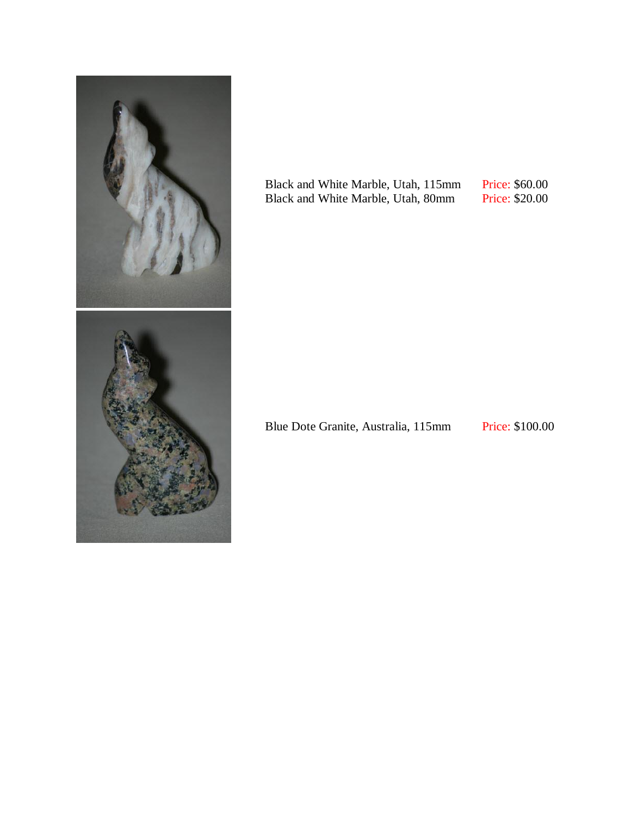

Black and White Marble, Utah, 115mm Black and White Marble, Utah, 80mm

Price: \$60.00 Price: \$20.00

Blue Dote Granite, Australia, 115mm Price: \$100.00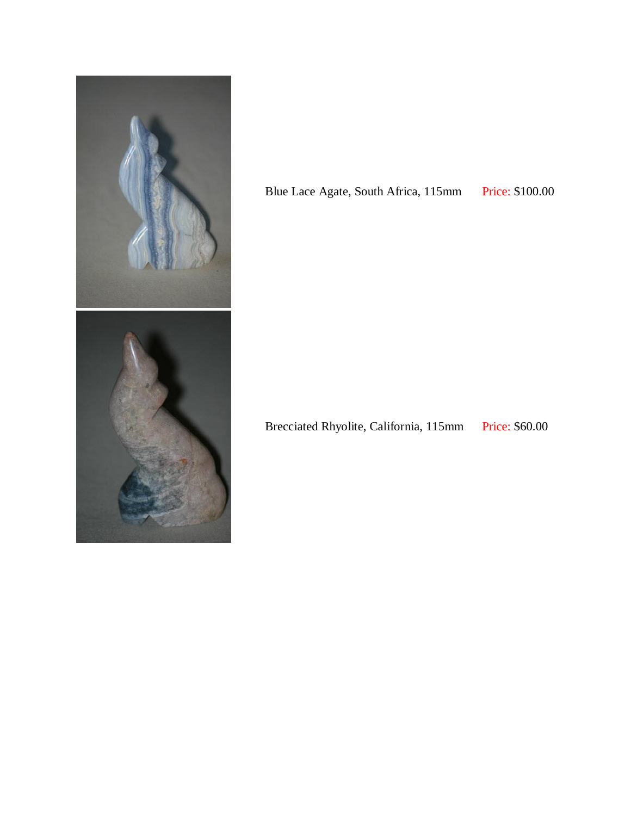

Blue Lace Agate, South Africa, 115mm Price: \$100.00

Brecciated Rhyolite, California, 115mm Price: \$60.00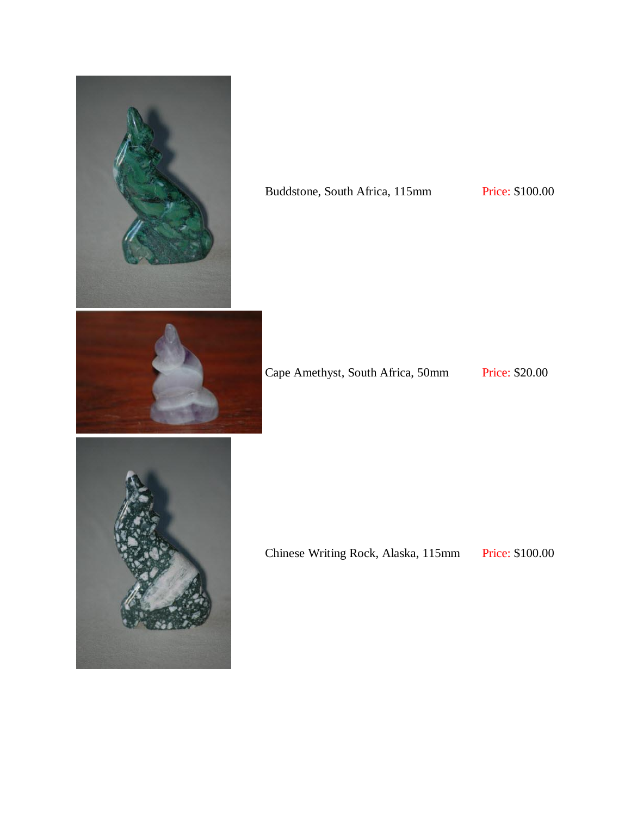

#### Buddstone, South Africa, 115mm Price: \$100.00



Cape Amethyst, South Africa, 50mm Price: \$20.00



Chinese Writing Rock, Alaska, 115mm Price: \$100.00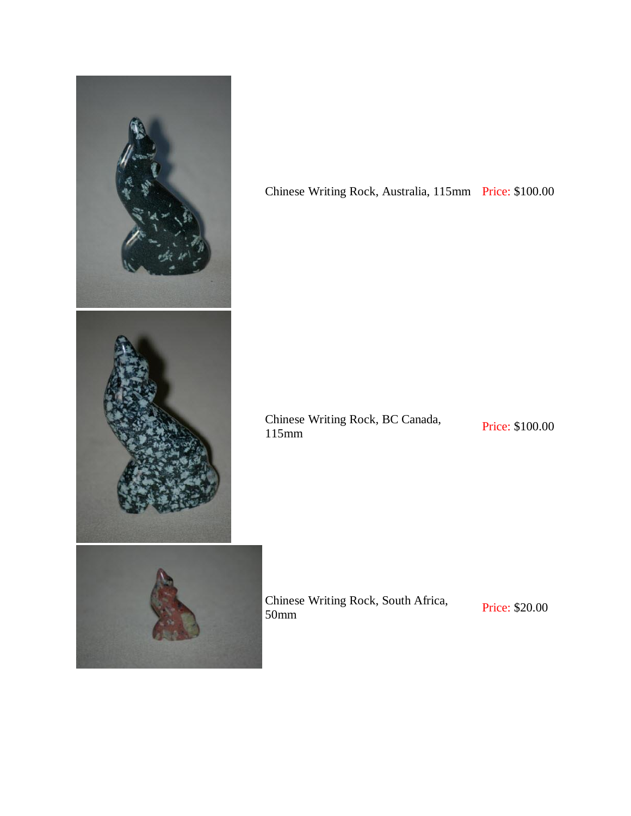

Chinese Writing Rock, Australia, 115mm Price: \$100.00

Chinese Writing Rock, BC Canada, Price: \$100.00

Chinese Writing Rock, South Africa,<br>
Frice: \$20.00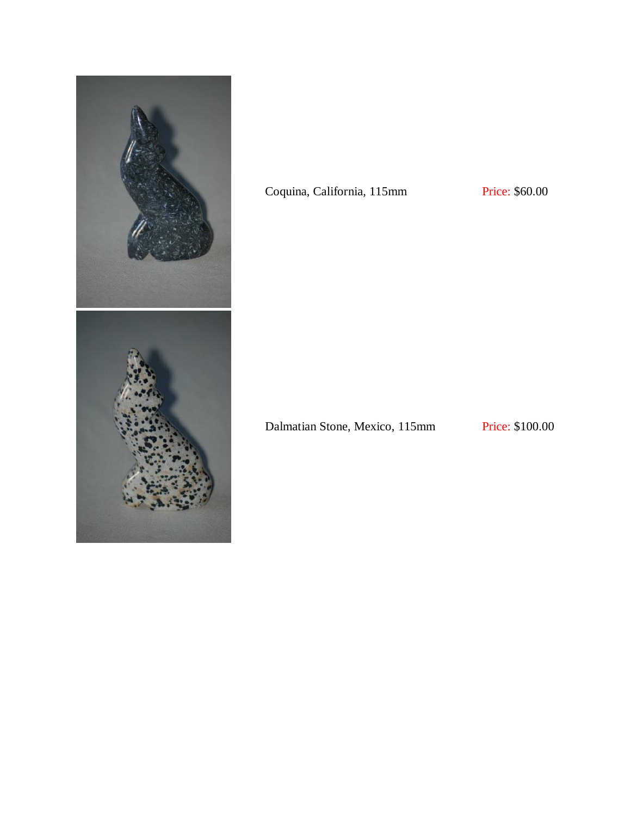

### Coquina, California, 115mm Price: \$60.00

Dalmatian Stone, Mexico, 115mm Price: \$100.00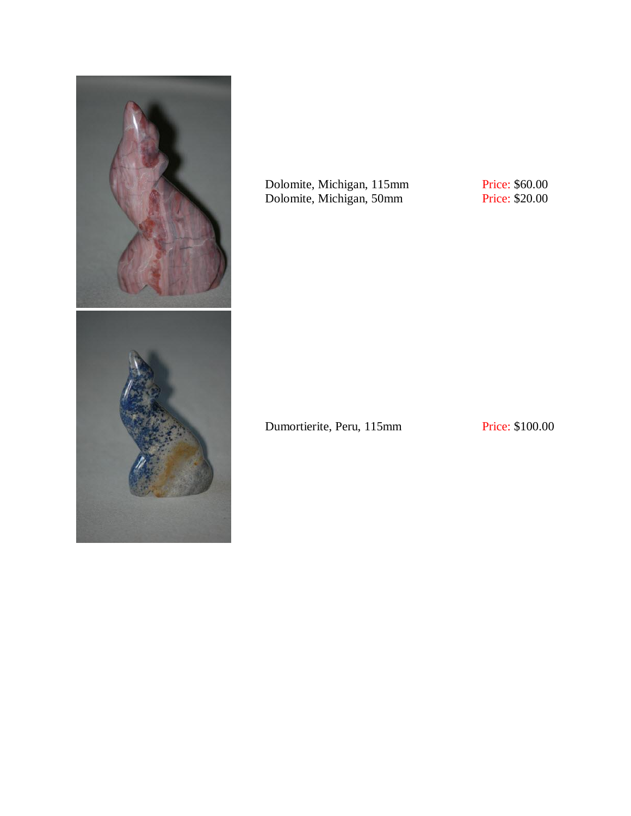

Dolomite, Michigan, 115mm Dolomite, Michigan, 50mm

Price: \$60.00 Price: \$20.00

Dumortierite, Peru, 115mm Price: \$100.00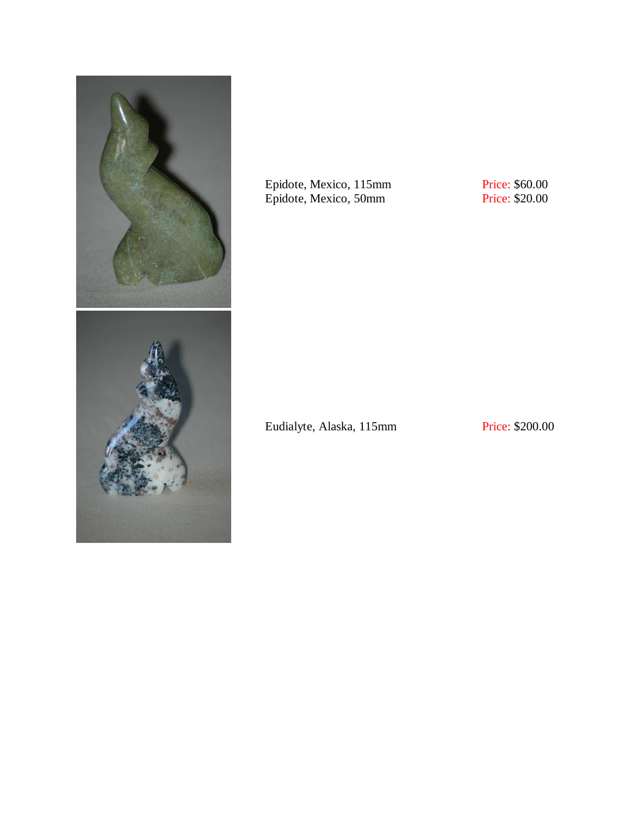

Epidote, Mexico, 115mm Epidote, Mexico, 50mm

Price: \$60.00 Price: \$20.00

Eudialyte, Alaska, 115mm Price: \$200.00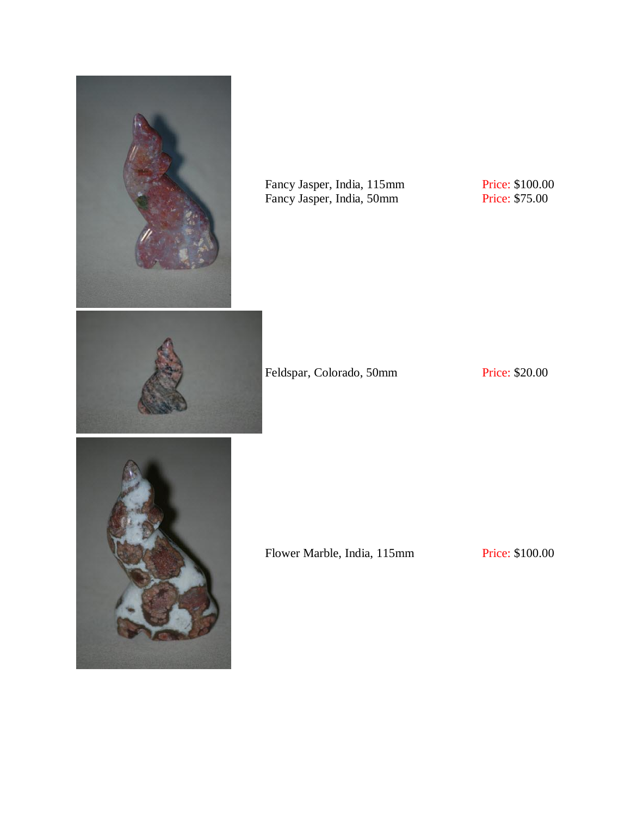

Fancy Jasper, India, 115mm Fancy Jasper, India, 50mm

Price: \$100.00 Price: \$75.00

Feldspar, Colorado, 50mm Price: \$20.00

Flower Marble, India, 115mm Price: \$100.00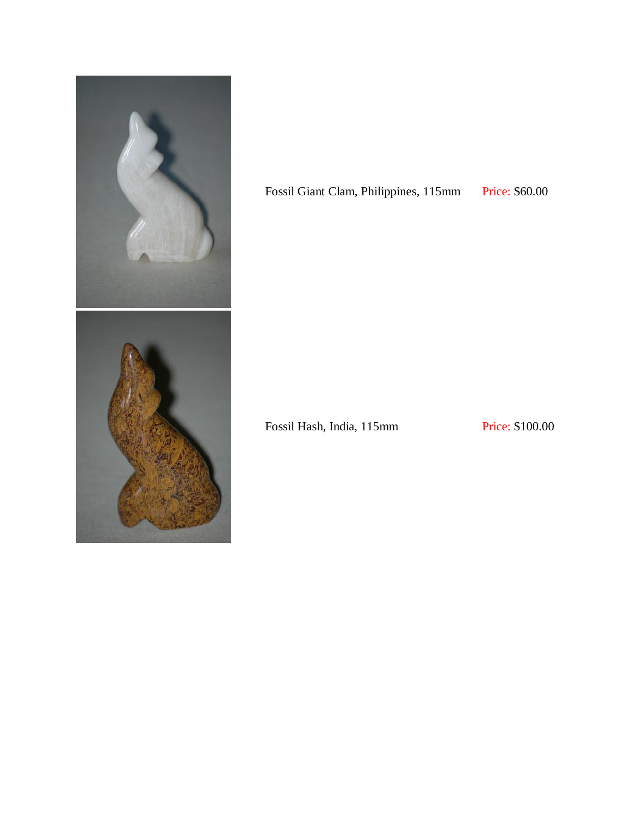

Fossil Giant Clam, Philippines, 115mm Price: \$60.00

Fossil Hash, India, 115mm Price: \$100.00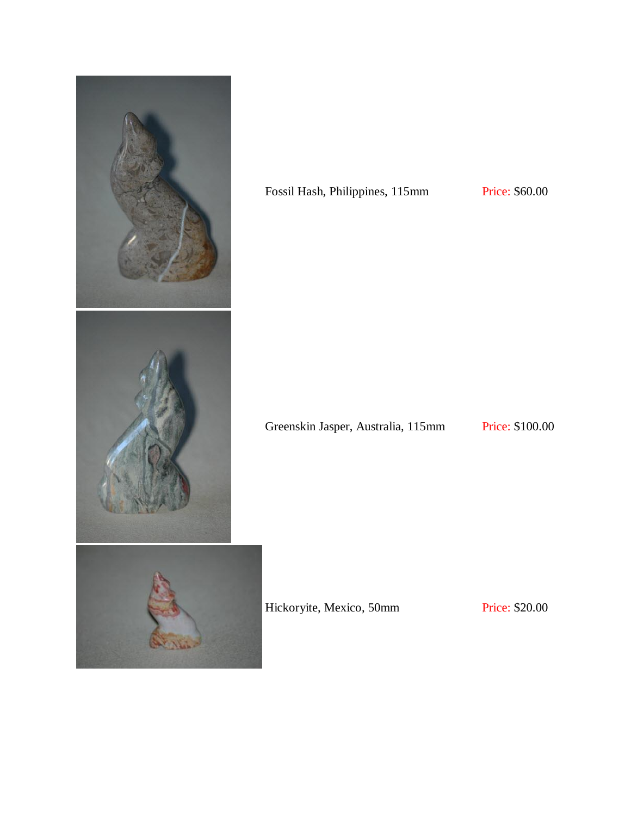

### Fossil Hash, Philippines, 115mm Price: \$60.00

Greenskin Jasper, Australia, 115mm Price: \$100.00

Hickoryite, Mexico, 50mm Price: \$20.00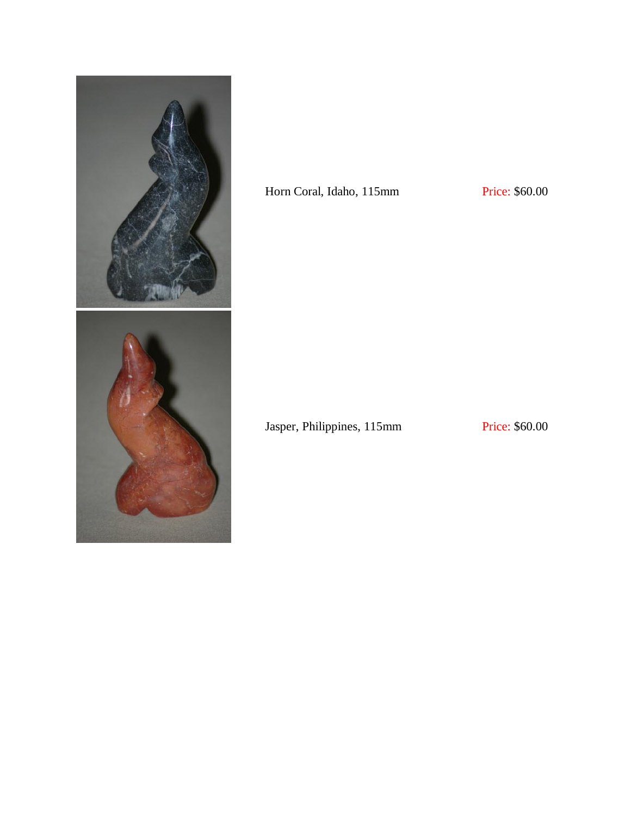

## Horn Coral, Idaho, 115mm Price: \$60.00

Jasper, Philippines, 115mm Price: \$60.00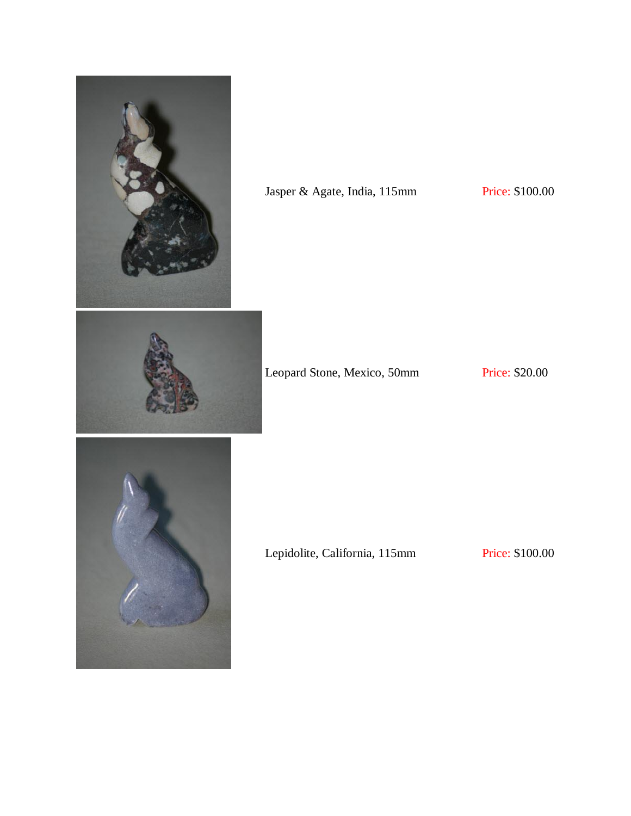

Leopard Stone, Mexico, 50mm Price: \$20.00

Lepidolite, California, 115mm Price: \$100.00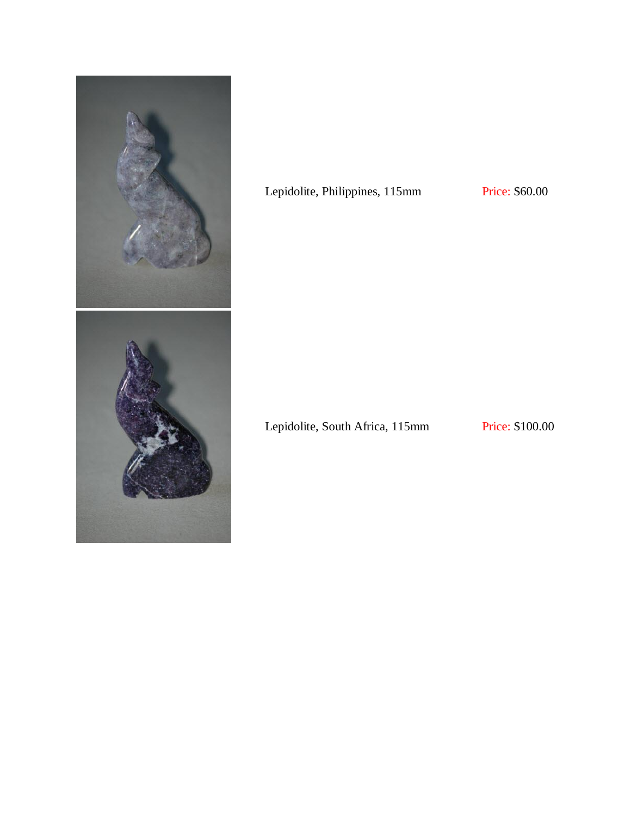

## Lepidolite, Philippines, 115mm Price: \$60.00

Lepidolite, South Africa, 115mm Price: \$100.00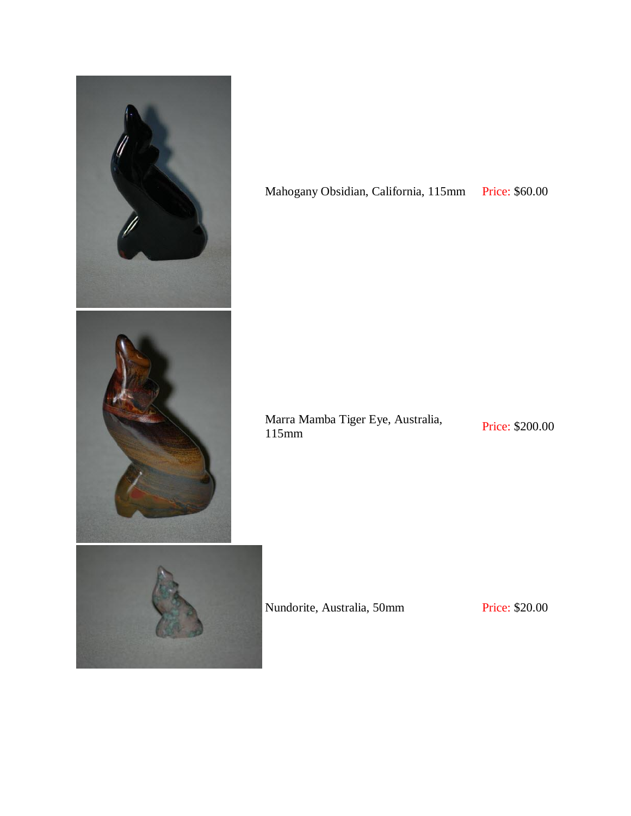

Mahogany Obsidian, California, 115mm Price: \$60.00

Marra Mamba Tiger Eye, Australia, Price: \$200.00<br>115mm

Nundorite, Australia, 50mm Price: \$20.00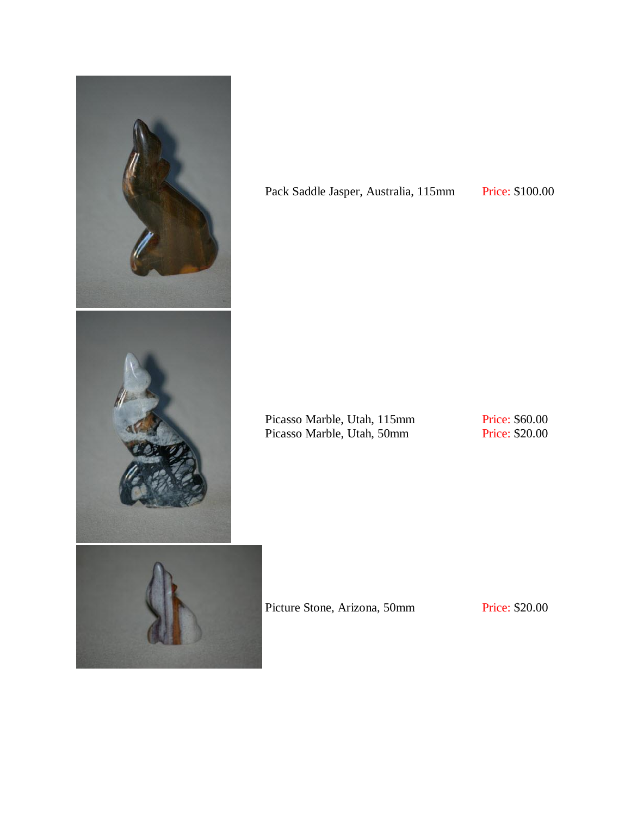

Pack Saddle Jasper, Australia, 115mm Price: \$100.00

Picasso Marble, Utah, 115mm Picasso Marble, Utah, 50mm

Price: \$60.00 Price: \$20.00

Picture Stone, Arizona, 50mm Price: \$20.00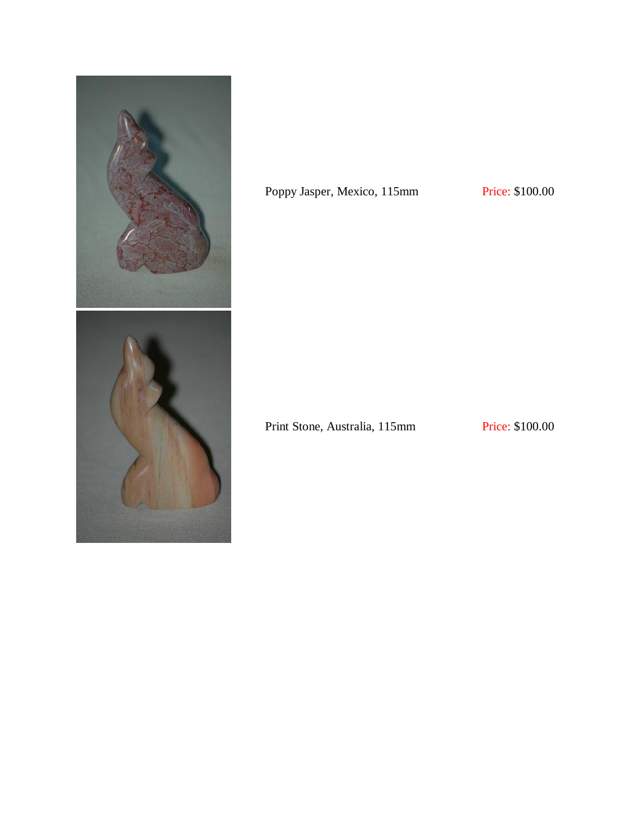

Poppy Jasper, Mexico, 115mm Price: \$100.00

Print Stone, Australia, 115mm Price: \$100.00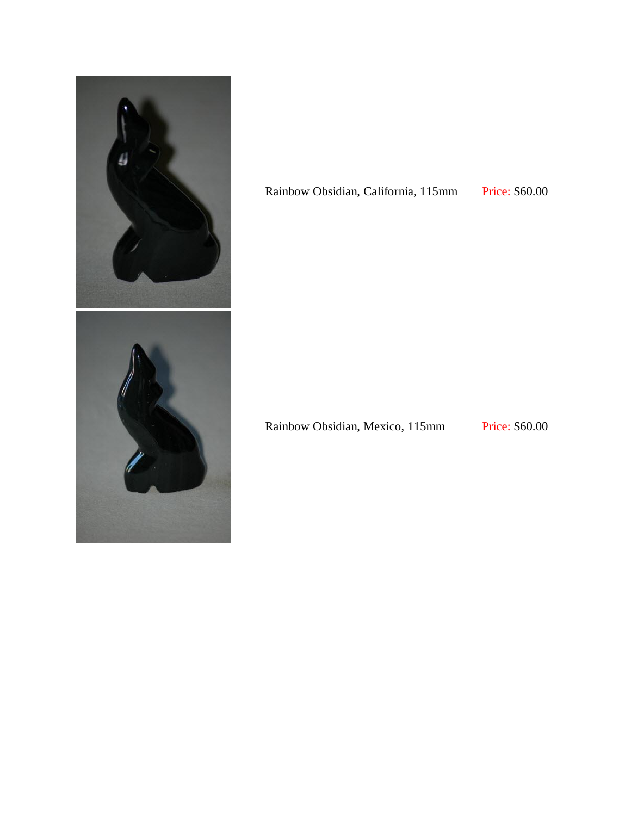

Rainbow Obsidian, California, 115mm Price: \$60.00

Rainbow Obsidian, Mexico, 115mm Price: \$60.00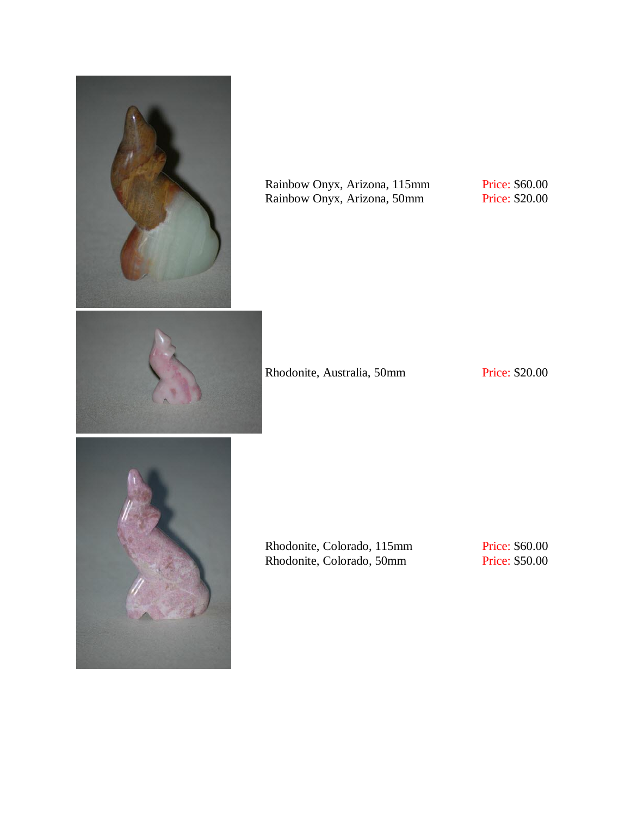

Rainbow Onyx, Arizona, 115mm Rainbow Onyx, Arizona, 50mm

Price: \$60.00 Price: \$20.00





Rhodonite, Colorado, 115mm Rhodonite, Colorado, 50mm

Price: \$60.00 Price: \$50.00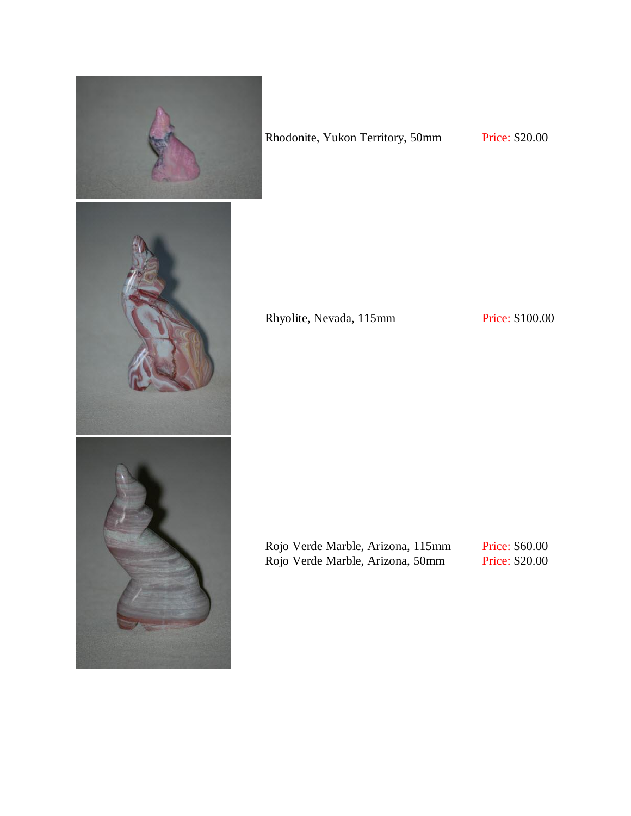

Rhodonite, Yukon Territory, 50mm Price: \$20.00

Rhyolite, Nevada, 115mm Price: \$100.00

Rojo Verde Marble, Arizona, 115mm Rojo Verde Marble, Arizona, 50mm

Price: \$60.00 Price: \$20.00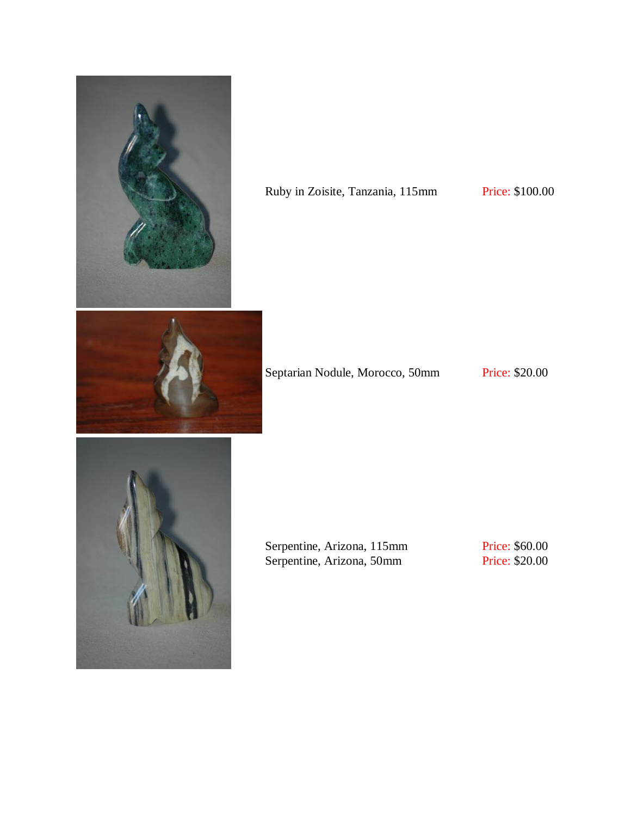

# Ruby in Zoisite, Tanzania, 115mm Price: \$100.00





Serpentine, Arizona, 115mm Serpentine, Arizona, 50mm

Price: \$60.00 Price: \$20.00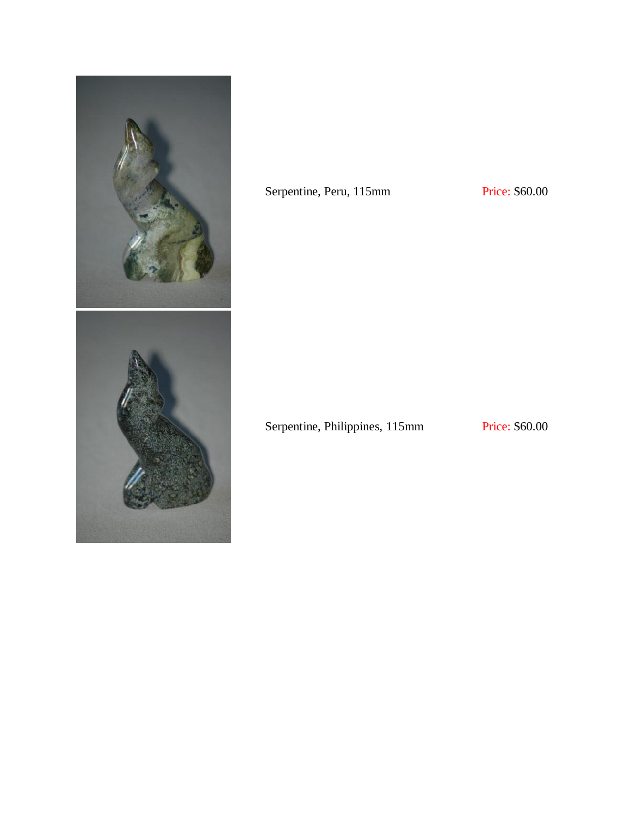

Serpentine, Peru, 115mm Price: \$60.00

Serpentine, Philippines, 115mm Price: \$60.00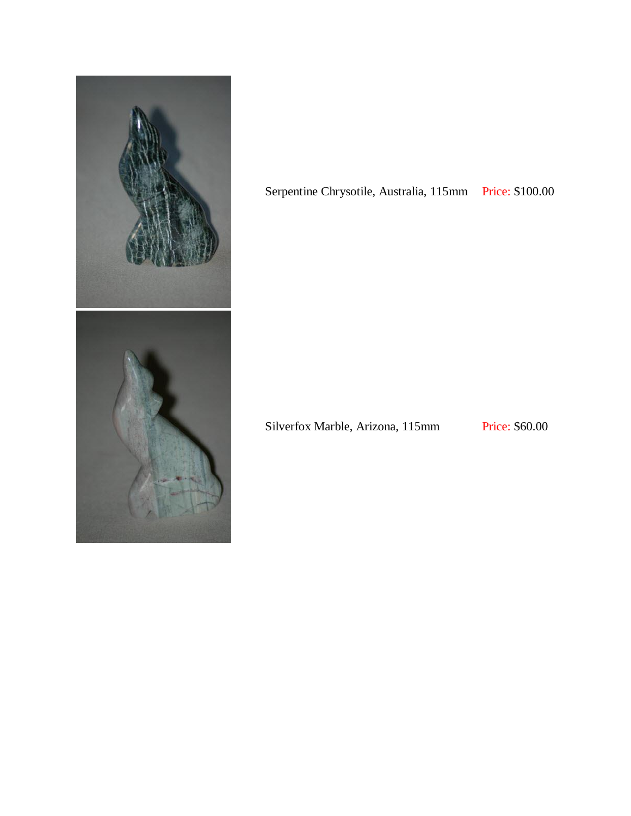

Serpentine Chrysotile, Australia, 115mm Price: \$100.00

Silverfox Marble, Arizona, 115mm Price: \$60.00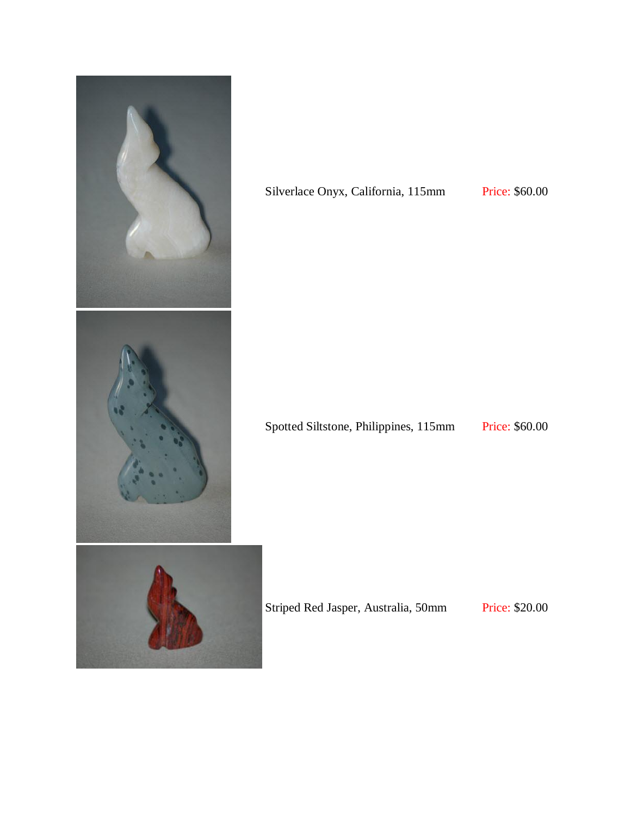

### Silverlace Onyx, California, 115mm Price: \$60.00

Spotted Siltstone, Philippines, 115mm Price: \$60.00

Striped Red Jasper, Australia, 50mm Price: \$20.00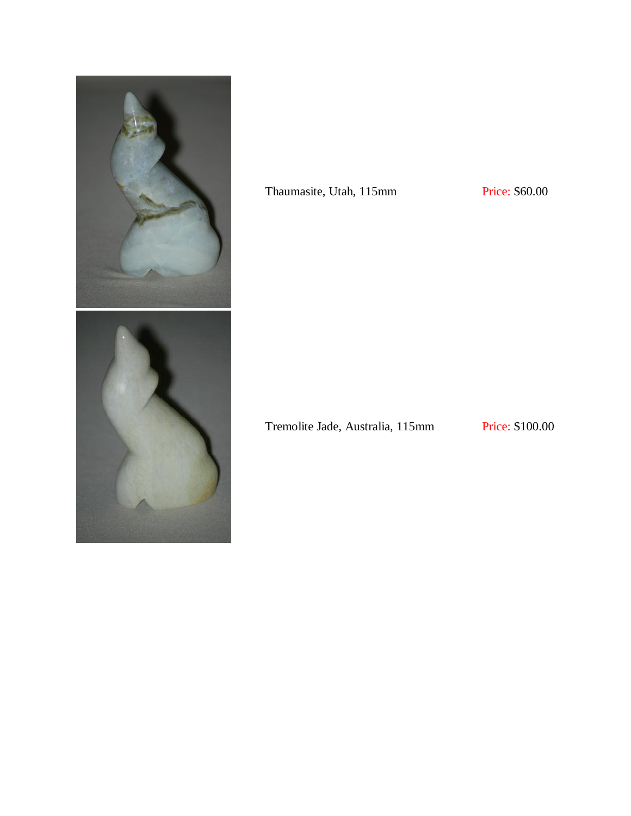

Thaumasite, Utah, 115mm Price: \$60.00

Tremolite Jade, Australia, 115mm Price: \$100.00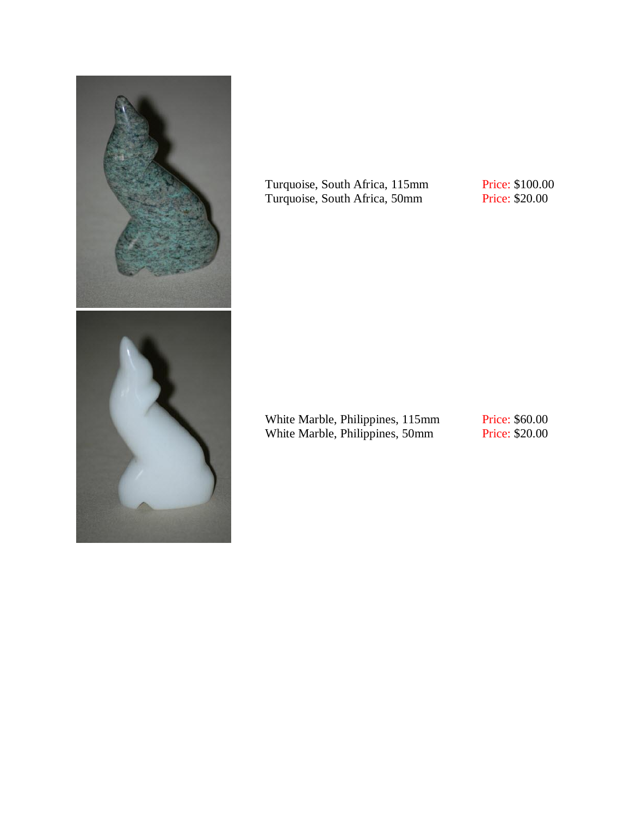

Turquoise, South Africa, 115mm Turquoise, South Africa, 50mm

Price: \$100.00 Price: \$20.00

White Marble, Philippines, 115mm White Marble, Philippines, 50mm

Price: \$60.00 Price: \$20.00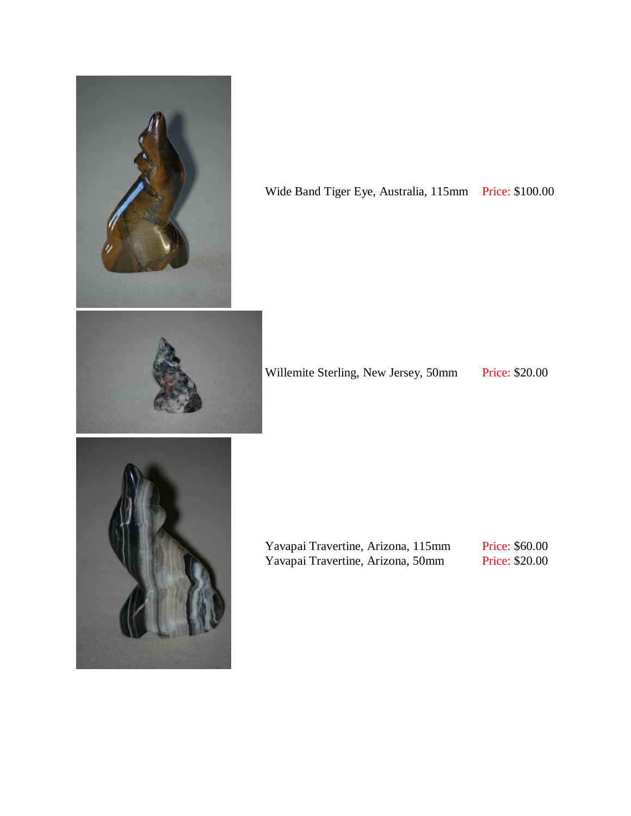

Wide Band Tiger Eye, Australia, 115mm Price: \$100.00



Willemite Sterling, New Jersey, 50mm Price: \$20.00



Yavapai Travertine, Arizona, 115mm Yavapai Travertine, Arizona, 50mm

Price: \$60.00 Price: \$20.00